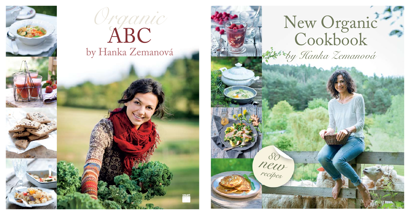